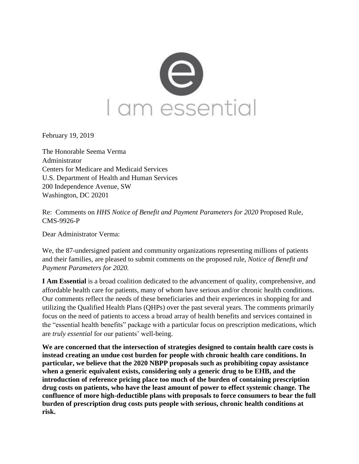

February 19, 2019

The Honorable Seema Verma Administrator Centers for Medicare and Medicaid Services U.S. Department of Health and Human Services 200 Independence Avenue, SW Washington, DC 20201

Re: Comments on *HHS Notice of Benefit and Payment Parameters for 2020* Proposed Rule, CMS-9926-P

Dear Administrator Verma:

We, the 87-undersigned patient and community organizations representing millions of patients and their families, are pleased to submit comments on the proposed rule, *Notice of Benefit and Payment Parameters for 2020.*

**I Am Essential** is a broad coalition dedicated to the advancement of quality, comprehensive, and affordable health care for patients, many of whom have serious and/or chronic health conditions. Our comments reflect the needs of these beneficiaries and their experiences in shopping for and utilizing the Qualified Health Plans (QHPs) over the past several years. The comments primarily focus on the need of patients to access a broad array of health benefits and services contained in the "essential health benefits" package with a particular focus on prescription medications, which are *truly essential* for our patients' well-being.

**We are concerned that the intersection of strategies designed to contain health care costs is instead creating an undue cost burden for people with chronic health care conditions. In particular, we believe that the 2020 NBPP proposals such as prohibiting copay assistance when a generic equivalent exists, considering only a generic drug to be EHB, and the introduction of reference pricing place too much of the burden of containing prescription drug costs on patients, who have the least amount of power to effect systemic change. The confluence of more high-deductible plans with proposals to force consumers to bear the full burden of prescription drug costs puts people with serious, chronic health conditions at risk.**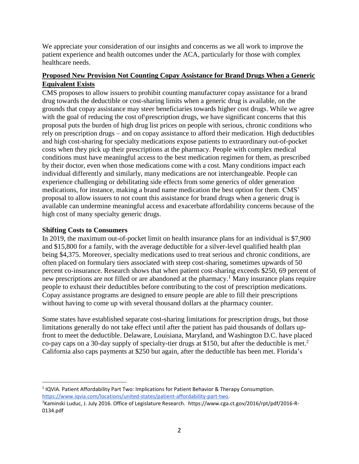We appreciate your consideration of our insights and concerns as we all work to improve the patient experience and health outcomes under the ACA, particularly for those with complex healthcare needs.

# **Proposed New Provision Not Counting Copay Assistance for Brand Drugs When a Generic Equivalent Exists**

CMS proposes to allow issuers to prohibit counting manufacturer copay assistance for a brand drug towards the deductible or cost-sharing limits when a generic drug is available, on the grounds that copay assistance may steer beneficiaries towards higher cost drugs. While we agree with the goal of reducing the cost of prescription drugs, we have significant concerns that this proposal puts the burden of high drug list prices on people with serious, chronic conditions who rely on prescription drugs – and on copay assistance to afford their medication. High deductibles and high cost-sharing for specialty medications expose patients to extraordinary out-of-pocket costs when they pick up their prescriptions at the pharmacy. People with complex medical conditions must have meaningful access to the best medication regimen for them, as prescribed by their doctor, even when those medications come with a cost. Many conditions impact each individual differently and similarly, many medications are not interchangeable. People can experience challenging or debilitating side effects from some generics of older generation medications, for instance, making a brand name medication the best option for them. CMS' proposal to allow issuers to not count this assistance for brand drugs when a generic drug is available can undermine meaningful access and exacerbate affordability concerns because of the high cost of many specialty generic drugs.

## **Shifting Costs to Consumers**

 $\overline{\phantom{a}}$ 

In 2019, the maximum out-of-pocket limit on health insurance plans for an individual is \$7,900 and \$15,800 for a family, with the average deductible for a silver-level qualified health plan being \$4,375. Moreover, specialty medications used to treat serious and chronic conditions, are often placed on formulary tiers associated with steep cost-sharing, sometimes upwards of 50 percent co-insurance. Research shows that when patient cost-sharing exceeds \$250, 69 percent of new prescriptions are not filled or are abandoned at the pharmacy.<sup>1</sup> Many insurance plans require people to exhaust their deductibles before contributing to the cost of prescription medications. Copay assistance programs are designed to ensure people are able to fill their prescriptions without having to come up with several thousand dollars at the pharmacy counter.

Some states have established separate cost-sharing limitations for prescription drugs, but those limitations generally do not take effect until after the patient has paid thousands of dollars upfront to meet the deductible. Delaware, Louisiana, Maryland, and Washington D.C. have placed co-pay caps on a 30-day supply of specialty-tier drugs at \$150, but after the deductible is met.<sup>2</sup> California also caps payments at \$250 but again, after the deductible has been met. Florida's

<sup>1</sup> IQVIA. Patient Affordability Part Two: Implications for Patient Behavior & Therapy Consumption. [https://www.iqvia.com/locations/united-states/patient-affordability-part-two.](https://www.iqvia.com/locations/united-states/patient-affordability-part-two) 

<sup>&</sup>lt;sup>2</sup>Kaminski Luduc, J. July 2016. Office of Legislature Research. https://www.cga.ct.gov/2016/rpt/pdf/2016-R-0134.pdf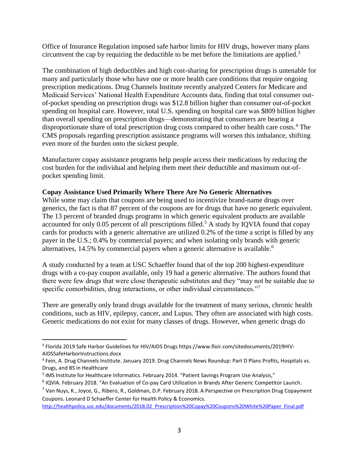Office of Insurance Regulation imposed safe harbor limits for HIV drugs, however many plans circumvent the cap by requiring the deductible to be met before the limitations are applied.<sup>3</sup>

The combination of high deductibles and high cost-sharing for prescription drugs is untenable for many and particularly those who have one or more health care conditions that require ongoing prescription medications. Drug Channels Institute recently analyzed Centers for Medicare and Medicaid Services' National Health Expenditure Accounts data, finding that total consumer outof-pocket spending on prescription drugs was \$12.8 billion higher than consumer out-of-pocket spending on hospital care. However, total U.S. spending on hospital care was \$809 billion higher than overall spending on prescription drugs—demonstrating that consumers are bearing a disproportionate share of total prescription drug costs compared to other health care costs. <sup>4</sup> The CMS proposals regarding prescription assistance programs will worsen this imbalance, shifting even more of the burden onto the sickest people.

Manufacturer copay assistance programs help people access their medications by reducing the cost burden for the individual and helping them meet their deductible and maximum out-ofpocket spending limit.

#### **Copay Assistance Used Primarily Where There Are No Generic Alternatives**

While some may claim that coupons are being used to incentivize brand-name drugs over generics, the fact is that 87 percent of the coupons are for drugs that have no generic equivalent. The 13 percent of branded drugs programs in which generic equivalent products are available accounted for only 0.05 percent of all prescriptions filled.<sup>5</sup> A study by IQVIA found that copay cards for products with a generic alternative are utilized 0.2% of the time a script is filled by any payer in the U.S.; 0.4% by commercial payers; and when isolating only brands with generic alternatives, 14.5% by commercial payers when a generic alternative is available.<sup>6</sup>

A study conducted by a team at USC Schaeffer found that of the top 200 highest-expenditure drugs with a co-pay coupon available, only 19 had a generic alternative. The authors found that there were few drugs that were close therapeutic substitutes and they "may not be suitable due to specific comorbidities, drug interactions, or other individual circumstances."<sup>7</sup>

There are generally only brand drugs available for the treatment of many serious, chronic health conditions, such as HIV, epilepsy, cancer, and Lupus. They often are associated with high costs. Generic medications do not exist for many classes of drugs. However, when generic drugs do

 $\overline{\phantom{a}}$ 

<sup>&</sup>lt;sup>3</sup> Florida 2019 Safe Harbor Guidelines for HIV/AIDS Drugs https://www.floir.com/sitedocuments/2019HIV-AIDSSafeHarborInstructions.docx

<sup>4</sup> Fein, A. Drug Channels Institute. January 2019. Drug Channels News Roundup: Part D Plans Profits, Hospitals vs. Drugs, and BS in Healthcare

<sup>&</sup>lt;sup>5</sup> IMS Institute for Healthcare Informatics. February 2014. "Patient Savings Program Use Analysis,"

<sup>&</sup>lt;sup>6</sup> IQVIA. February 2018. "An Evaluation of Co-pay Card Utilization in Brands After Generic Competitor Launch.

<sup>7</sup> Van Nuys, K., Joyce, G., Ribero, R., Goldman, D.P. February 2018. A Perspective on Prescription Drug Copayment Coupons. Leonard D Schaeffer Center for Health Policy & Economics.

[http://healthpolicy.usc.edu/documents/2018.02\\_Prescription%20Copay%20Coupons%20White%20Paper\\_Final.pdf](http://healthpolicy.usc.edu/documents/2018.02_Prescription%20Copay%20Coupons%20White%20Paper_Final.pdf)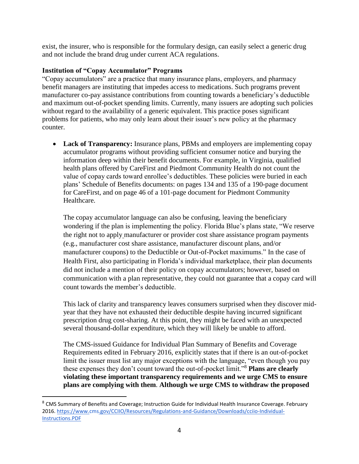exist, the insurer, who is responsible for the formulary design, can easily select a generic drug and not include the brand drug under current ACA regulations.

### **Institution of "Copay Accumulator" Programs**

 $\overline{\phantom{a}}$ 

"Copay accumulators" are a practice that many insurance plans, employers, and pharmacy benefit managers are instituting that impedes access to medications. Such programs prevent manufacturer co-pay assistance contributions from counting towards a beneficiary's deductible and maximum out-of-pocket spending limits. Currently, many issuers are adopting such policies without regard to the availability of a generic equivalent. This practice poses significant problems for patients, who may only learn about their issuer's new policy at the pharmacy counter.

• **Lack of Transparency:** Insurance plans, PBMs and employers are implementing copay accumulator programs without providing sufficient consumer notice and burying the information deep within their benefit documents. For example, in Virginia, qualified health plans offered by CareFirst and Piedmont Community Health do not count the value of copay cards toward enrollee's deductibles. These policies were buried in each plans' Schedule of Benefits documents: on pages 134 and 135 of a 190-page document for CareFirst, and on page 46 of a 101-page document for Piedmont Community Healthcare.

The copay accumulator language can also be confusing, leaving the beneficiary wondering if the plan is implementing the policy. Florida Blue's plans state, "We reserve the right not to apply manufacturer or provider cost share assistance program payments (e.g., manufacturer cost share assistance, manufacturer discount plans, and/or manufacturer coupons) to the Deductible or Out-of-Pocket maximums." In the case of Health First, also participating in Florida's individual marketplace, their plan documents did not include a mention of their policy on copay accumulators; however, based on communication with a plan representative, they could not guarantee that a copay card will count towards the member's deductible.

This lack of clarity and transparency leaves consumers surprised when they discover midyear that they have not exhausted their deductible despite having incurred significant prescription drug cost-sharing. At this point, they might be faced with an unexpected several thousand-dollar expenditure, which they will likely be unable to afford.

The CMS-issued Guidance for Individual Plan Summary of Benefits and Coverage Requirements edited in February 2016, explicitly states that if there is an out-of-pocket limit the issuer must list any major exceptions with the language, "even though you pay these expenses they don't count toward the out-of-pocket limit."<sup>8</sup> **Plans are clearly violating these important transparency requirements and we urge CMS to ensure plans are complying with them**. **Although we urge CMS to withdraw the proposed** 

<sup>8</sup> CMS Summary of Benefits and Coverage; Instruction Guide for Individual Health Insurance Coverage. February 2016. [https://www.cms.gov/CCIIO/Resources/Regulations-and-Guidance/Downloads/cciio-Individual-](https://www.cms.gov/CCIIO/Resources/Regulations-and-Guidance/Downloads/cciio-Individual-Instructions.PDF)[Instructions.PDF](https://www.cms.gov/CCIIO/Resources/Regulations-and-Guidance/Downloads/cciio-Individual-Instructions.PDF)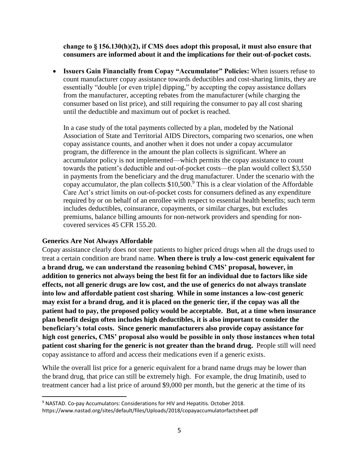**change to § 156.130(h)(2), if CMS does adopt this proposal, it must also ensure that consumers are informed about it and the implications for their out-of-pocket costs.** 

• **Issuers Gain Financially from Copay "Accumulator" Policies:** When issuers refuse to count manufacturer copay assistance towards deductibles and cost-sharing limits, they are essentially "double [or even triple] dipping," by accepting the copay assistance dollars from the manufacturer, accepting rebates from the manufacturer (while charging the consumer based on list price), and still requiring the consumer to pay all cost sharing until the deductible and maximum out of pocket is reached.

In a case study of the total payments collected by a plan, modeled by the National Association of State and Territorial AIDS Directors, comparing two scenarios, one when copay assistance counts, and another when it does not under a copay accumulator program, the difference in the amount the plan collects is significant. Where an accumulator policy is not implemented—which permits the copay assistance to count towards the patient's deductible and out-of-pocket costs—the plan would collect \$3,550 in payments from the beneficiary and the drug manufacturer. Under the scenario with the copay accumulator, the plan collects  $$10,500$ .<sup>9</sup> This is a clear violation of the Affordable Care Act's strict limits on out-of-pocket costs for consumers defined as any expenditure required by or on behalf of an enrollee with respect to essential health benefits; such term includes deductibles, coinsurance, copayments, or similar charges, but excludes premiums, balance billing amounts for non-network providers and spending for noncovered services 45 CFR 155.20.

#### **Generics Are Not Always Affordable**

 $\overline{\phantom{a}}$ 

Copay assistance clearly does not steer patients to higher priced drugs when all the drugs used to treat a certain condition are brand name. **When there is truly a low-cost generic equivalent for a brand drug, we can understand the reasoning behind CMS' proposal, however, in addition to generics not always being the best fit for an individual due to factors like side effects, not all generic drugs are low cost, and the use of generics do not always translate into low and affordable patient cost sharing**. **While in some instances a low-cost generic may exist for a brand drug, and it is placed on the generic tier, if the copay was all the patient had to pay, the proposed policy would be acceptable. But, at a time when insurance plan benefit design often includes high deductibles, it is also important to consider the beneficiary's total costs. Since generic manufacturers also provide copay assistance for high cost generics, CMS' proposal also would be possible in only those instances when total patient cost sharing for the generic is not greater than the brand drug.** People still will need copay assistance to afford and access their medications even if a generic exists.

While the overall list price for a generic equivalent for a brand name drugs may be lower than the brand drug, that price can still be extremely high. For example, the drug Imatinib, used to treatment cancer had a list price of around \$9,000 per month, but the generic at the time of its

<sup>9</sup> NASTAD. Co-pay Accumulators: Considerations for HIV and Hepatitis. October 2018.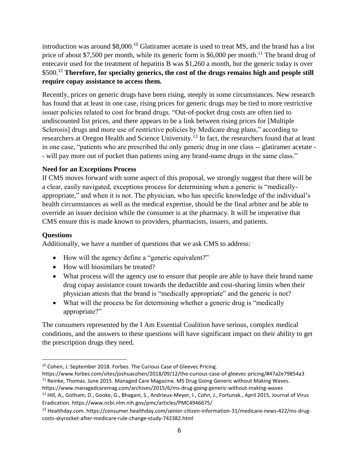introduction was around \$8,000.<sup>10</sup> Glatiramer acetate is used to treat MS, and the brand has a list price of about \$7,500 per month, while its generic form is \$6,000 per month.<sup>11</sup> The brand drug of entecavir used for the treatment of hepatitis B was \$1,260 a month, but the generic today is over \$500.<sup>12</sup> **Therefore, for specialty generics, the cost of the drugs remains high and people still require copay assistance to access them.**

Recently, prices on generic drugs have been rising, steeply in some circumstances. New research has found that at least in one case, rising prices for generic drugs may be tied to more restrictive issuer policies related to cost for brand drugs. "Out-of-pocket drug costs are often tied to undiscounted list prices, and there appears to be a link between rising prices for [Multiple Sclerosis] drugs and more use of restrictive policies by Medicare drug plans," according to researchers at Oregon Health and Science University.<sup>13</sup> In fact, the researchers found that at least in one case, "patients who are prescribed the only generic drug in one class -- glatiramer acetate - - will pay more out of pocket than patients using any brand-name drugs in the same class."

# **Need for an Exceptions Process**

If CMS moves forward with some aspect of this proposal, we strongly suggest that there will be a clear, easily navigated, exceptions process for determining when a generic is "medicallyappropriate," and when it is not. The physician, who has specific knowledge of the individual's health circumstances as well as the medical expertise, should be the final arbiter and be able to override an issuer decision while the consumer is at the pharmacy. It will be imperative that CMS ensure this is made known to providers, pharmacists, issuers, and patients.

# **Questions**

 $\overline{\phantom{a}}$ 

Additionally, we have a number of questions that we ask CMS to address:

- How will the agency define a "generic equivalent?"
- How will biosimilars be treated?
- What process will the agency use to ensure that people are able to have their brand name drug copay assistance count towards the deductible and cost-sharing limits when their physician attests that the brand is "medically appropriate" and the generic is not?
- What will the process be for determining whether a generic drug is "medically" appropriate?"

The consumers represented by the I Am Essential Coalition have serious, complex medical conditions, and the answers to these questions will have significant impact on their ability to get the prescription drugs they need.

- https://www.forbes.com/sites/joshuacohen/2018/09/12/the-curious-case-of-gleevec-pricing/#47a2e79854a3 <sup>11</sup> Reinke, Thomas. June 2015. Managed Care Magazine. MS Drug Going Generic without Making Waves.
- https://www.managedcaremag.com/archives/2015/6/ms-drug-going-generic-without-making-waves <sup>12</sup> Hill, A., Gotham, D., Gooke, G., Bhagani, S., Andrieux-Meyer, I., Cohn, J., Fortunak., April 2015, Journal of Virus Eradication. https://www.ncbi.nlm.nih.gov/pmc/articles/PMC4946675/

<sup>&</sup>lt;sup>10</sup> Cohen, J. September 2018. Forbes. The Curious Case of Gleevec Pricing.

<sup>13</sup> Healthday.com. https://consumer.healthday.com/senior-citizen-information-31/medicare-news-422/ms-drugcosts-skyrocket-after-medicare-rule-change-study-742382.html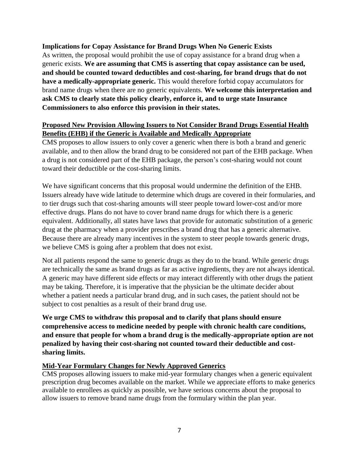## **Implications for Copay Assistance for Brand Drugs When No Generic Exists**

As written, the proposal would prohibit the use of copay assistance for a brand drug when a generic exists. **We are assuming that CMS is asserting that copay assistance can be used, and should be counted toward deductibles and cost-sharing, for brand drugs that do not have a medically-appropriate generic.** This would therefore forbid copay accumulators for brand name drugs when there are no generic equivalents. **We welcome this interpretation and ask CMS to clearly state this policy clearly, enforce it, and to urge state Insurance Commissioners to also enforce this provision in their states.** 

### **Proposed New Provision Allowing Issuers to Not Consider Brand Drugs Essential Health Benefits (EHB) if the Generic is Available and Medically Appropriate**

CMS proposes to allow issuers to only cover a generic when there is both a brand and generic available, and to then allow the brand drug to be considered not part of the EHB package. When a drug is not considered part of the EHB package, the person's cost-sharing would not count toward their deductible or the cost-sharing limits.

We have significant concerns that this proposal would undermine the definition of the EHB. Issuers already have wide latitude to determine which drugs are covered in their formularies, and to tier drugs such that cost-sharing amounts will steer people toward lower-cost and/or more effective drugs. Plans do not have to cover brand name drugs for which there is a generic equivalent. Additionally, all states have laws that provide for automatic substitution of a generic drug at the pharmacy when a provider prescribes a brand drug that has a generic alternative. Because there are already many incentives in the system to steer people towards generic drugs, we believe CMS is going after a problem that does not exist.

Not all patients respond the same to generic drugs as they do to the brand. While generic drugs are technically the same as brand drugs as far as active ingredients, they are not always identical. A generic may have different side effects or may interact differently with other drugs the patient may be taking. Therefore, it is imperative that the physician be the ultimate decider about whether a patient needs a particular brand drug, and in such cases, the patient should not be subject to cost penalties as a result of their brand drug use.

**We urge CMS to withdraw this proposal and to clarify that plans should ensure comprehensive access to medicine needed by people with chronic health care conditions, and ensure that people for whom a brand drug is the medically-appropriate option are not penalized by having their cost-sharing not counted toward their deductible and costsharing limits.**

## **Mid-Year Formulary Changes for Newly Approved Generics**

CMS proposes allowing issuers to make mid-year formulary changes when a generic equivalent prescription drug becomes available on the market. While we appreciate efforts to make generics available to enrollees as quickly as possible, we have serious concerns about the proposal to allow issuers to remove brand name drugs from the formulary within the plan year.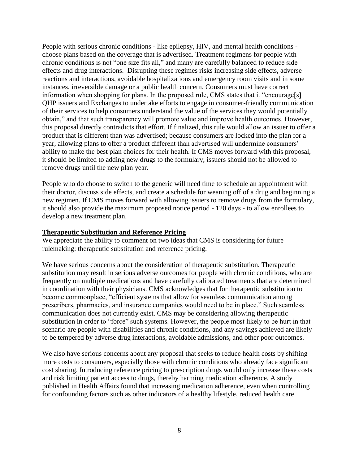People with serious chronic conditions - like epilepsy, HIV, and mental health conditions choose plans based on the coverage that is advertised. Treatment regimens for people with chronic conditions is not "one size fits all," and many are carefully balanced to reduce side effects and drug interactions. Disrupting these regimes risks increasing side effects, adverse reactions and interactions, avoidable hospitalizations and emergency room visits and in some instances, irreversible damage or a public health concern. Consumers must have correct information when shopping for plans. In the proposed rule, CMS states that it "encourage[s] QHP issuers and Exchanges to undertake efforts to engage in consumer-friendly communication of their services to help consumers understand the value of the services they would potentially obtain," and that such transparency will promote value and improve health outcomes. However, this proposal directly contradicts that effort. If finalized, this rule would allow an issuer to offer a product that is different than was advertised; because consumers are locked into the plan for a year, allowing plans to offer a product different than advertised will undermine consumers' ability to make the best plan choices for their health. If CMS moves forward with this proposal, it should be limited to adding new drugs to the formulary; issuers should not be allowed to remove drugs until the new plan year.

People who do choose to switch to the generic will need time to schedule an appointment with their doctor, discuss side effects, and create a schedule for weaning off of a drug and beginning a new regimen. If CMS moves forward with allowing issuers to remove drugs from the formulary, it should also provide the maximum proposed notice period - 120 days - to allow enrollees to develop a new treatment plan.

#### **Therapeutic Substitution and Reference Pricing**

We appreciate the ability to comment on two ideas that CMS is considering for future rulemaking: therapeutic substitution and reference pricing.

We have serious concerns about the consideration of therapeutic substitution. Therapeutic substitution may result in serious adverse outcomes for people with chronic conditions, who are frequently on multiple medications and have carefully calibrated treatments that are determined in coordination with their physicians. CMS acknowledges that for therapeutic substitution to become commonplace, "efficient systems that allow for seamless communication among prescribers, pharmacies, and insurance companies would need to be in place." Such seamless communication does not currently exist. CMS may be considering allowing therapeutic substitution in order to "force" such systems. However, the people most likely to be hurt in that scenario are people with disabilities and chronic conditions, and any savings achieved are likely to be tempered by adverse drug interactions, avoidable admissions, and other poor outcomes.

We also have serious concerns about any proposal that seeks to reduce health costs by shifting more costs to consumers, especially those with chronic conditions who already face significant cost sharing. Introducing reference pricing to prescription drugs would only increase these costs and risk limiting patient access to drugs, thereby harming medication adherence. A study published in Health Affairs found that increasing medication adherence, even when controlling for confounding factors such as other indicators of a healthy lifestyle, reduced health care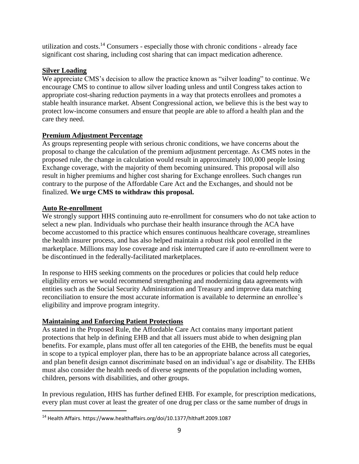utilization and costs.<sup>14</sup> Consumers - especially those with chronic conditions - already face significant cost sharing, including cost sharing that can impact medication adherence.

### **Silver Loading**

We appreciate CMS's decision to allow the practice known as "silver loading" to continue. We encourage CMS to continue to allow silver loading unless and until Congress takes action to appropriate cost-sharing reduction payments in a way that protects enrollees and promotes a stable health insurance market. Absent Congressional action, we believe this is the best way to protect low-income consumers and ensure that people are able to afford a health plan and the care they need.

#### **Premium Adjustment Percentage**

As groups representing people with serious chronic conditions, we have concerns about the proposal to change the calculation of the premium adjustment percentage. As CMS notes in the proposed rule, the change in calculation would result in approximately 100,000 people losing Exchange coverage, with the majority of them becoming uninsured. This proposal will also result in higher premiums and higher cost sharing for Exchange enrollees. Such changes run contrary to the purpose of the Affordable Care Act and the Exchanges, and should not be finalized. **We urge CMS to withdraw this proposal.**

#### **Auto Re-enrollment**

 $\overline{\phantom{a}}$ 

We strongly support HHS continuing auto re-enrollment for consumers who do not take action to select a new plan. Individuals who purchase their health insurance through the ACA have become accustomed to this practice which ensures continuous healthcare coverage, streamlines the health insurer process, and has also helped maintain a robust risk pool enrolled in the marketplace. Millions may lose coverage and risk interrupted care if auto re-enrollment were to be discontinued in the federally-facilitated marketplaces.

In response to HHS seeking comments on the procedures or policies that could help reduce eligibility errors we would recommend strengthening and modernizing data agreements with entities such as the Social Security Administration and Treasury and improve data matching reconciliation to ensure the most accurate information is available to determine an enrollee's eligibility and improve program integrity.

## **Maintaining and Enforcing Patient Protections**

As stated in the Proposed Rule, the Affordable Care Act contains many important patient protections that help in defining EHB and that all issuers must abide to when designing plan benefits. For example, plans must offer all ten categories of the EHB, the benefits must be equal in scope to a typical employer plan, there has to be an appropriate balance across all categories, and plan benefit design cannot discriminate based on an individual's age or disability. The EHBs must also consider the health needs of diverse segments of the population including women, children, persons with disabilities, and other groups.

In previous regulation, HHS has further defined EHB. For example, for prescription medications, every plan must cover at least the greater of one drug per class or the same number of drugs in

<sup>14</sup> Health Affairs. https://www.healthaffairs.org/doi/10.1377/hlthaff.2009.1087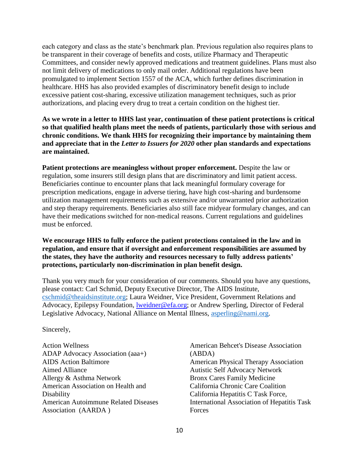each category and class as the state's benchmark plan. Previous regulation also requires plans to be transparent in their coverage of benefits and costs, utilize Pharmacy and Therapeutic Committees, and consider newly approved medications and treatment guidelines. Plans must also not limit delivery of medications to only mail order. Additional regulations have been promulgated to implement Section 1557 of the ACA, which further defines discrimination in healthcare. HHS has also provided examples of discriminatory benefit design to include excessive patient cost-sharing, excessive utilization management techniques, such as prior authorizations, and placing every drug to treat a certain condition on the highest tier.

**As we wrote in a letter to HHS last year, continuation of these patient protections is critical so that qualified health plans meet the needs of patients, particularly those with serious and chronic conditions. We thank HHS for recognizing their importance by maintaining them and appreciate that in the** *Letter to Issuers for 2020* **other plan standards and expectations are maintained.**

**Patient protections are meaningless without proper enforcement.** Despite the law or regulation, some insurers still design plans that are discriminatory and limit patient access. Beneficiaries continue to encounter plans that lack meaningful formulary coverage for prescription medications, engage in adverse tiering, have high cost-sharing and burdensome utilization management requirements such as extensive and/or unwarranted prior authorization and step therapy requirements. Beneficiaries also still face midyear formulary changes, and can have their medications switched for non-medical reasons. Current regulations and guidelines must be enforced.

#### **We encourage HHS to fully enforce the patient protections contained in the law and in regulation, and ensure that if oversight and enforcement responsibilities are assumed by the states, they have the authority and resources necessary to fully address patients' protections, particularly non-discrimination in plan benefit design.**

Thank you very much for your consideration of our comments. Should you have any questions, please contact: Carl Schmid, Deputy Executive Director, The AIDS Institute, [cschmid@theaidsinstitute.org;](mailto:cschmid@theaidsinstitute.org) Laura Weidner, Vice President, Government Relations and Advocacy, Epilepsy Foundation, [lweidner@efa.org;](mailto:lweidner@efa.org) or Andrew Sperling, Director of Federal Legislative Advocacy, National Alliance on Mental Illness, [asperling@nami.org.](mailto:asperling@nami.org)

Sincerely,

Action Wellness ADAP Advocacy Association (aaa+) AIDS Action Baltimore Aimed Alliance Allergy & Asthma Network American Association on Health and Disability American Autoimmune Related Diseases Association (AARDA )

American Behcet's Disease Association (ABDA) American Physical Therapy Association Autistic Self Advocacy Network Bronx Cares Family Medicine California Chronic Care Coalition California Hepatitis C Task Force, International Association of Hepatitis Task **Forces**